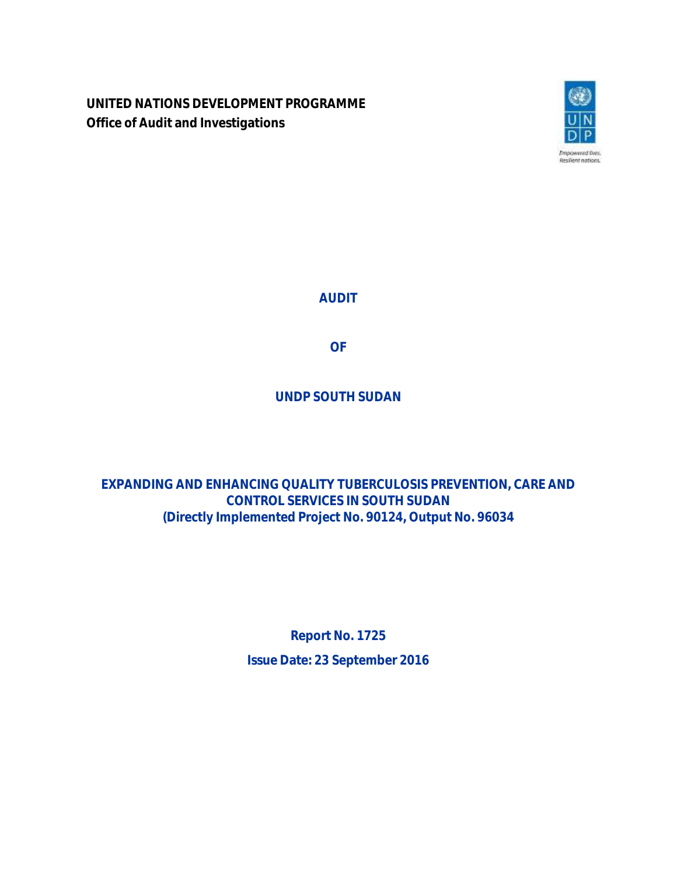**UNITED NATIONS DEVELOPMENT PROGRAMME Office of Audit and Investigations**



**AUDIT**

**OF**

**UNDP SOUTH SUDAN**

**EXPANDING AND ENHANCING QUALITY TUBERCULOSIS PREVENTION, CARE AND CONTROL SERVICES IN SOUTH SUDAN (Directly Implemented Project No. 90124, Output No. 96034**

> **Report No. 1725 Issue Date: 23 September 2016**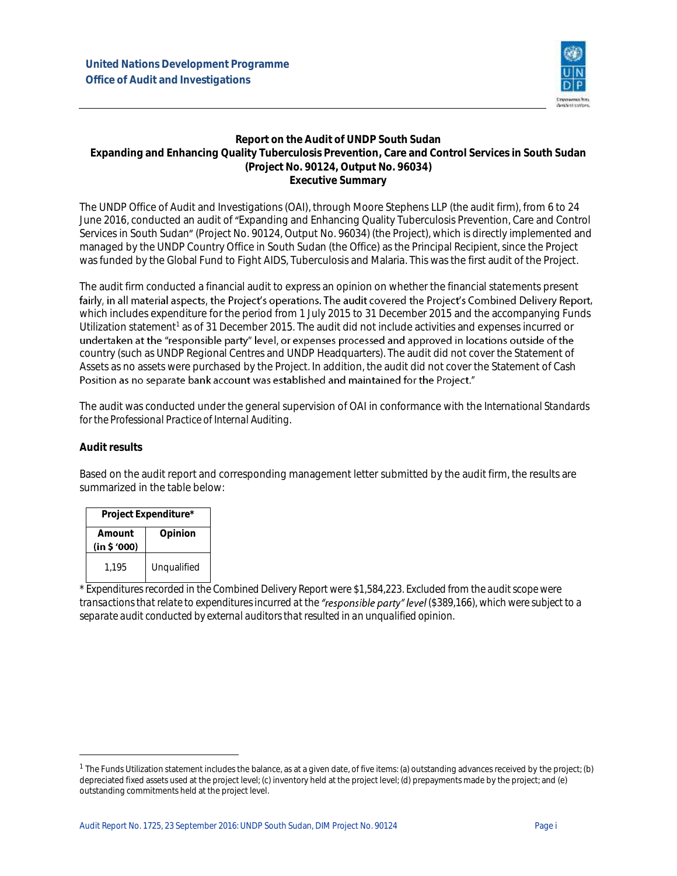

#### **Report on the Audit of UNDP South Sudan Expanding and Enhancing Quality Tuberculosis Prevention, Care and Control Services in South Sudan (Project No. 90124, Output No. 96034) Executive Summary**

The UNDP Office of Audit and Investigations (OAI), through Moore Stephens LLP (the audit firm), from 6 to 24 June 2016, conducted an audit of Expanding and Enhancing Quality Tuberculosis Prevention, Care and Control Services in South Sudan" (Project No. 90124, Output No. 96034) (the Project), which is directly implemented and managed by the UNDP Country Office in South Sudan (the Office) as the Principal Recipient, since the Project was funded by the Global Fund to Fight AIDS, Tuberculosis and Malaria. This was the first audit of the Project.

The audit firm conducted a financial audit to express an opinion on whether the financial statements present fairly, in all material aspects, the Project's operations. The audit covered the Project's Combined Delivery Report, which includes expenditure for the period from 1 July 2015 to 31 December 2015 and the accompanying Funds Utilization statement<sup>1</sup> as of 31 December 2015. The audit did not include activities and expenses incurred or undertaken at the "responsible party" level, or expenses processed and approved in locations outside of the country (such as UNDP Regional Centres and UNDP Headquarters). The audit did not cover the Statement of Assets as no assets were purchased by the Project. In addition, the audit did not cover the Statement of Cash<br>Position as no separate bank account was established and maintained for the Project."

The audit was conducted under the general supervision of OAI in conformance with the *International Standards for the Professional Practice of Internal Auditing*.

#### **Audit results**

 $\ddot{\phantom{a}}$ 

Based on the audit report and corresponding management letter submitted by the audit firm, the results are summarized in the table below:

| Project Expenditure*  |             |  |  |  |
|-----------------------|-------------|--|--|--|
| Amount<br>(in \$'000) | Opinion     |  |  |  |
| 1.195                 | Unqualified |  |  |  |

*\* Expendituresrecorded in the Combined Delivery Report were \$1,584,223. Excluded from the audit scope were transactions that relate to expendituresincurred at the (\$389,166), which were subject to a separate audit conducted by external auditors that resulted in an unqualified opinion.*

 $1$  The Funds Utilization statement includes the balance, as at a given date, of five items: (a) outstanding advances received by the project; (b) depreciated fixed assets used at the project level; (c) inventory held at the project level; (d) prepayments made by the project; and (e) outstanding commitments held at the project level.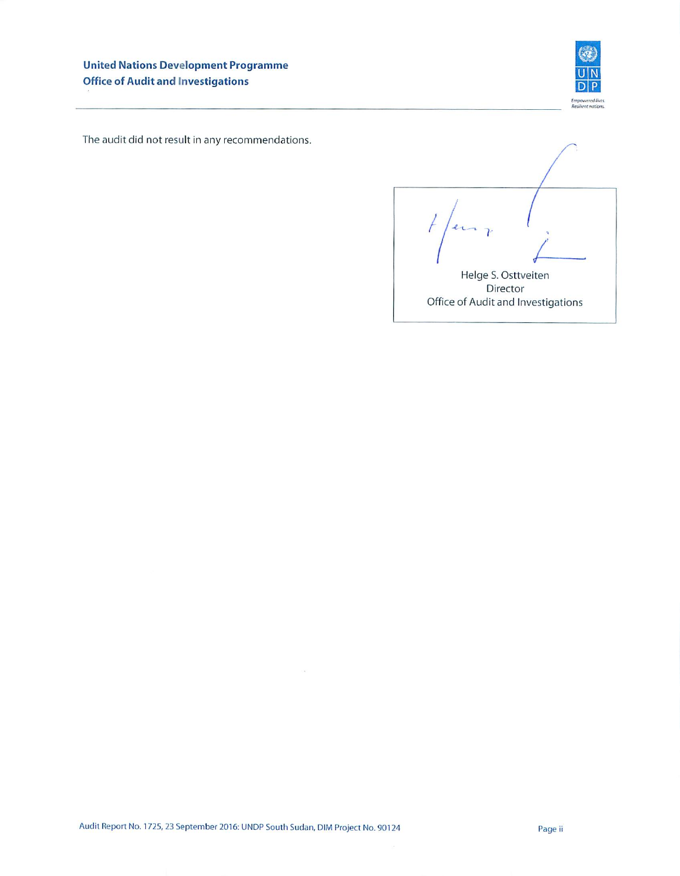

The audit did not result in any recommendations.

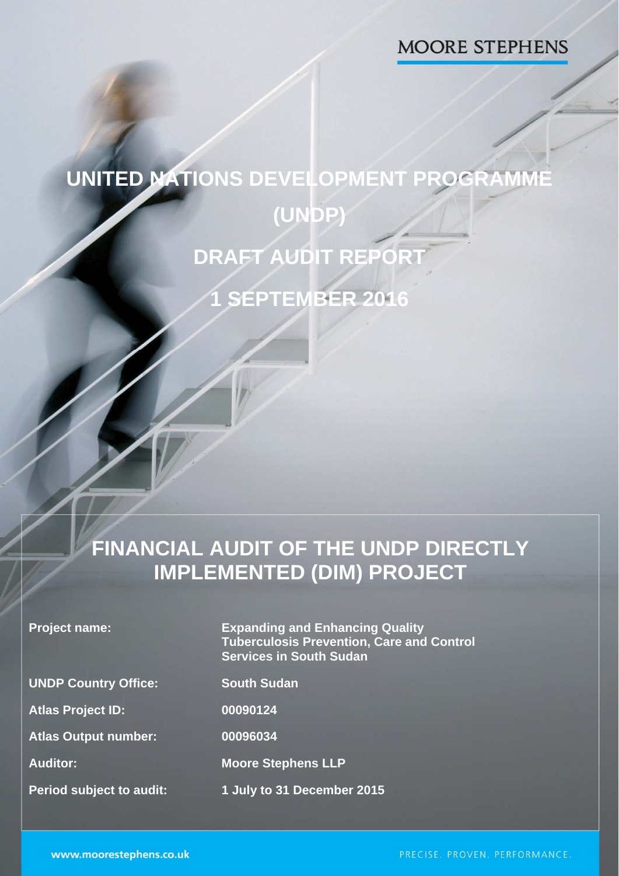# **MOORE STEPHENS**

# **UNITED NATIONS DEVELOPMENT PROGRAMME (UNDP) DRAFT AUDIT REPORT 1 SEPTEMBER 2016**

# **FINANCIAL AUDIT OF THE UNDP DIRECTLY IMPLEMENTED (DIM) PROJECT**

| <b>Project name:</b> |  |  |  |  |
|----------------------|--|--|--|--|
|----------------------|--|--|--|--|

**Expanding and Enhancing Quality Tuberculosis Prevention, Care and Control Services in South Sudan** 

**UNDP Country Office: South Sudan** 

**Atlas Project ID: 00090124** 

**Atlas Output number: 00096034** 

**Auditor: Moore Stephens LLP** 

**Period subject to audit: 1 July to 31 December 2015** 

1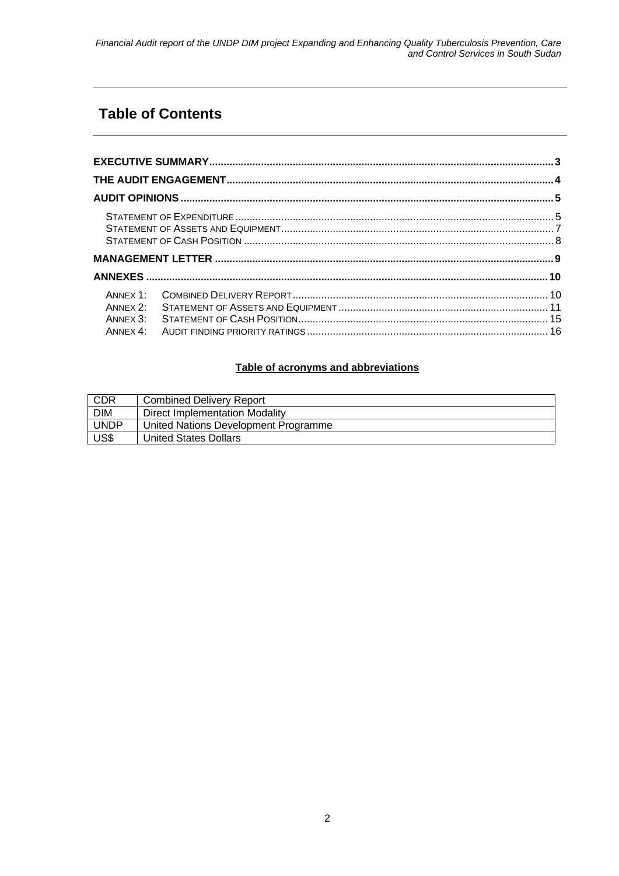# **Table of Contents**

| ANNEX 2:<br>ANNEX 3: |  |
|----------------------|--|

#### **Table of acronyms and abbreviations**

| CDR         | <b>Combined Delivery Report</b>      |
|-------------|--------------------------------------|
| <b>DIM</b>  | Direct Implementation Modality       |
| <b>UNDP</b> | United Nations Development Programme |
| US\$        | United States Dollars                |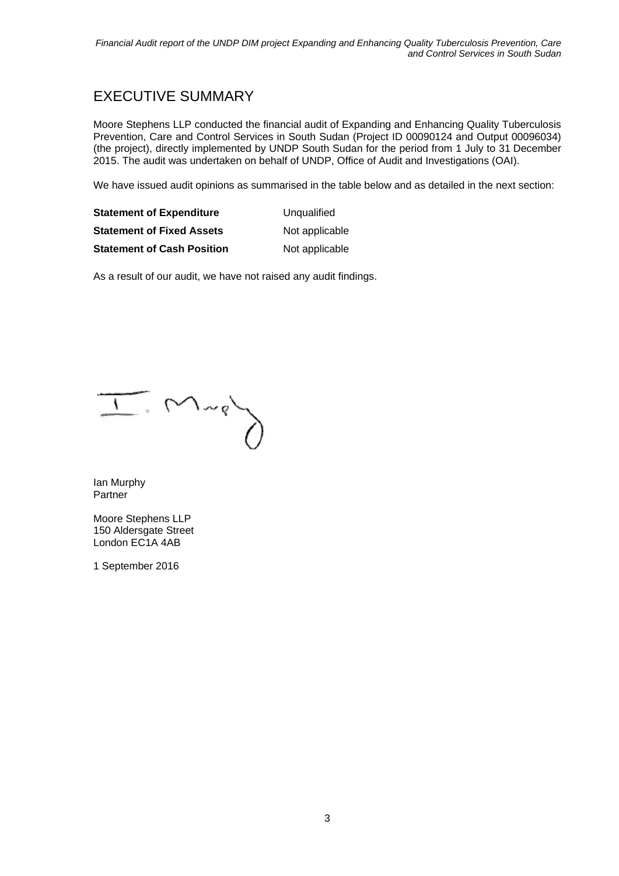### EXECUTIVE SUMMARY

Moore Stephens LLP conducted the financial audit of Expanding and Enhancing Quality Tuberculosis Prevention, Care and Control Services in South Sudan (Project ID 00090124 and Output 00096034) (the project), directly implemented by UNDP South Sudan for the period from 1 July to 31 December 2015. The audit was undertaken on behalf of UNDP, Office of Audit and Investigations (OAI).

We have issued audit opinions as summarised in the table below and as detailed in the next section:

| <b>Statement of Expenditure</b>   | Unqualified    |
|-----------------------------------|----------------|
| <b>Statement of Fixed Assets</b>  | Not applicable |
| <b>Statement of Cash Position</b> | Not applicable |

As a result of our audit, we have not raised any audit findings.

 $\overline{1}$   $M_{\nu}$ 

Ian Murphy Partner

Moore Stephens LLP 150 Aldersgate Street London EC1A 4AB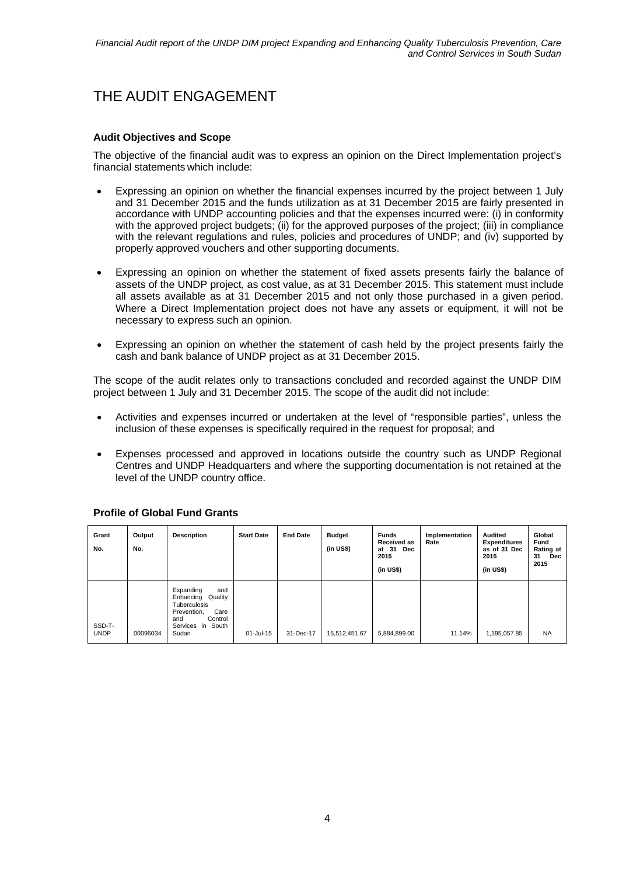# THE AUDIT ENGAGEMENT

#### **Audit Objectives and Scope**

The objective of the financial audit was to express an opinion on the Direct Implementation project's financial statements which include:

- Expressing an opinion on whether the financial expenses incurred by the project between 1 July and 31 December 2015 and the funds utilization as at 31 December 2015 are fairly presented in accordance with UNDP accounting policies and that the expenses incurred were: (i) in conformity with the approved project budgets; (ii) for the approved purposes of the project; (iii) in compliance with the relevant regulations and rules, policies and procedures of UNDP; and (iv) supported by properly approved vouchers and other supporting documents.
- Expressing an opinion on whether the statement of fixed assets presents fairly the balance of assets of the UNDP project, as cost value, as at 31 December 2015. This statement must include all assets available as at 31 December 2015 and not only those purchased in a given period. Where a Direct Implementation project does not have any assets or equipment, it will not be necessary to express such an opinion.
- Expressing an opinion on whether the statement of cash held by the project presents fairly the cash and bank balance of UNDP project as at 31 December 2015.

The scope of the audit relates only to transactions concluded and recorded against the UNDP DIM project between 1 July and 31 December 2015. The scope of the audit did not include:

- Activities and expenses incurred or undertaken at the level of "responsible parties", unless the inclusion of these expenses is specifically required in the request for proposal; and
- Expenses processed and approved in locations outside the country such as UNDP Regional Centres and UNDP Headquarters and where the supporting documentation is not retained at the level of the UNDP country office.

| Grant<br>No.          | Output<br>No. | <b>Description</b>                                                                                                                     | <b>Start Date</b> | <b>End Date</b> | <b>Budget</b><br>(in US\$) | <b>Funds</b><br>Received as<br>at 31<br><b>Dec</b><br>2015<br>(in US\$) | Implementation<br>Rate | Audited<br><b>Expenditures</b><br>as of 31 Dec<br>2015<br>(in US\$) | Global<br>Fund<br>Rating at<br>31<br>Dec<br>2015 |
|-----------------------|---------------|----------------------------------------------------------------------------------------------------------------------------------------|-------------------|-----------------|----------------------------|-------------------------------------------------------------------------|------------------------|---------------------------------------------------------------------|--------------------------------------------------|
| SSD-T-<br><b>UNDP</b> | 00096034      | Expanding<br>and<br>Enhancing<br>Quality<br><b>Tuberculosis</b><br>Care<br>Prevention,<br>Control<br>and<br>Services in South<br>Sudan | 01-Jul-15         | 31-Dec-17       | 15,512,451.67              | 5,884,899.00                                                            | 11.14%                 | 1,195,057.85                                                        | <b>NA</b>                                        |

#### **Profile of Global Fund Grants**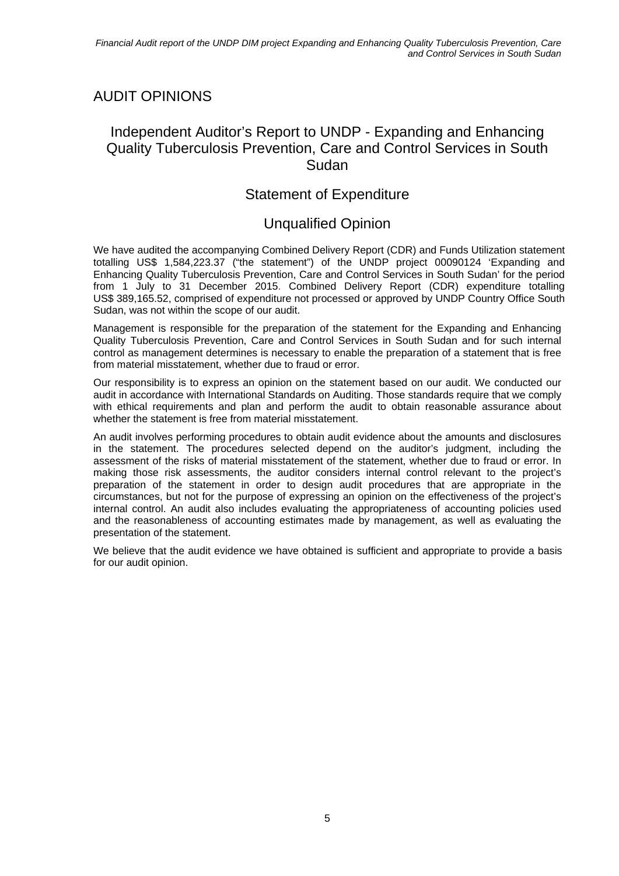## AUDIT OPINIONS

#### Independent Auditor's Report to UNDP - Expanding and Enhancing Quality Tuberculosis Prevention, Care and Control Services in South Sudan

#### Statement of Expenditure

#### Unqualified Opinion

We have audited the accompanying Combined Delivery Report (CDR) and Funds Utilization statement totalling US\$ 1,584,223.37 ("the statement") of the UNDP project 00090124 'Expanding and Enhancing Quality Tuberculosis Prevention, Care and Control Services in South Sudan' for the period from 1 July to 31 December 2015. Combined Delivery Report (CDR) expenditure totalling US\$ 389,165.52, comprised of expenditure not processed or approved by UNDP Country Office South Sudan, was not within the scope of our audit.

Management is responsible for the preparation of the statement for the Expanding and Enhancing Quality Tuberculosis Prevention, Care and Control Services in South Sudan and for such internal control as management determines is necessary to enable the preparation of a statement that is free from material misstatement, whether due to fraud or error.

Our responsibility is to express an opinion on the statement based on our audit. We conducted our audit in accordance with International Standards on Auditing. Those standards require that we comply with ethical requirements and plan and perform the audit to obtain reasonable assurance about whether the statement is free from material misstatement.

An audit involves performing procedures to obtain audit evidence about the amounts and disclosures in the statement. The procedures selected depend on the auditor's judgment, including the assessment of the risks of material misstatement of the statement, whether due to fraud or error. In making those risk assessments, the auditor considers internal control relevant to the project's preparation of the statement in order to design audit procedures that are appropriate in the circumstances, but not for the purpose of expressing an opinion on the effectiveness of the project's internal control. An audit also includes evaluating the appropriateness of accounting policies used and the reasonableness of accounting estimates made by management, as well as evaluating the presentation of the statement.

We believe that the audit evidence we have obtained is sufficient and appropriate to provide a basis for our audit opinion.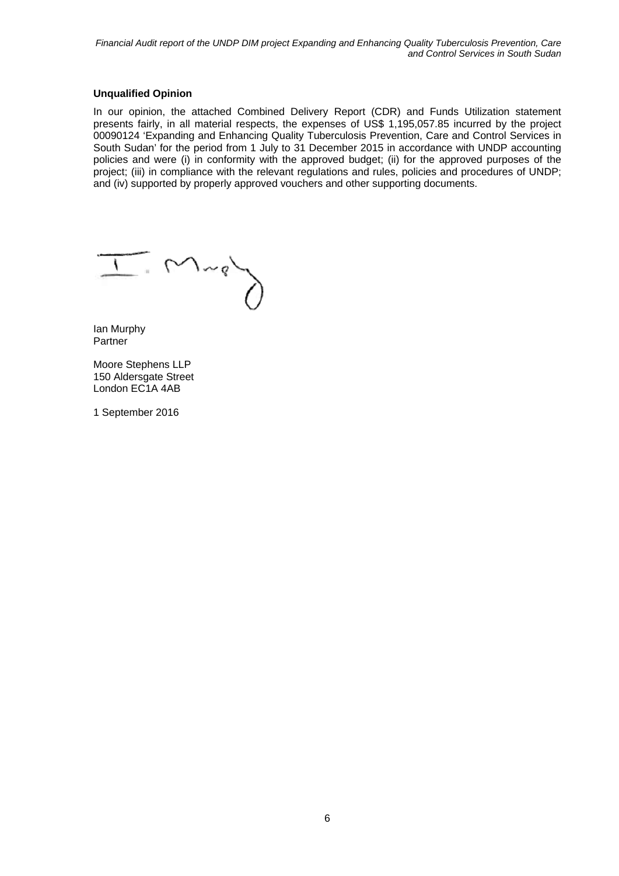#### **Unqualified Opinion**

In our opinion, the attached Combined Delivery Report (CDR) and Funds Utilization statement presents fairly, in all material respects, the expenses of US\$ 1,195,057.85 incurred by the project 00090124 'Expanding and Enhancing Quality Tuberculosis Prevention, Care and Control Services in South Sudan' for the period from 1 July to 31 December 2015 in accordance with UNDP accounting policies and were (i) in conformity with the approved budget; (ii) for the approved purposes of the project; (iii) in compliance with the relevant regulations and rules, policies and procedures of UNDP; and (iv) supported by properly approved vouchers and other supporting documents.

 $M_{\nu}$ er

Ian Murphy Partner

Moore Stephens LLP 150 Aldersgate Street London EC1A 4AB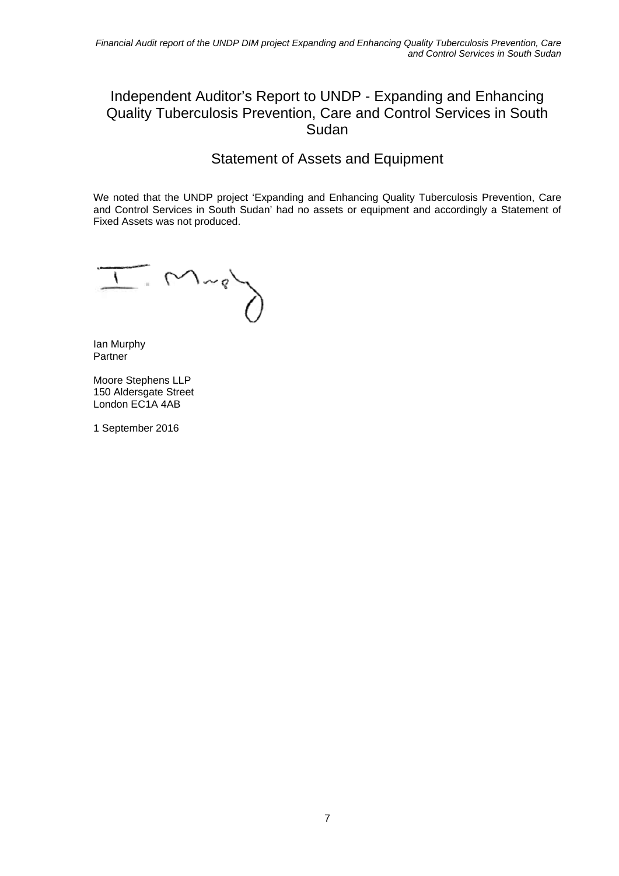#### Independent Auditor's Report to UNDP - Expanding and Enhancing Quality Tuberculosis Prevention, Care and Control Services in South Sudan

## Statement of Assets and Equipment

We noted that the UNDP project 'Expanding and Enhancing Quality Tuberculosis Prevention, Care and Control Services in South Sudan' had no assets or equipment and accordingly a Statement of Fixed Assets was not produced.

 $\sum_{i=1}^{n}$  $\sqrt{2}$ 

Ian Murphy Partner

Moore Stephens LLP 150 Aldersgate Street London EC1A 4AB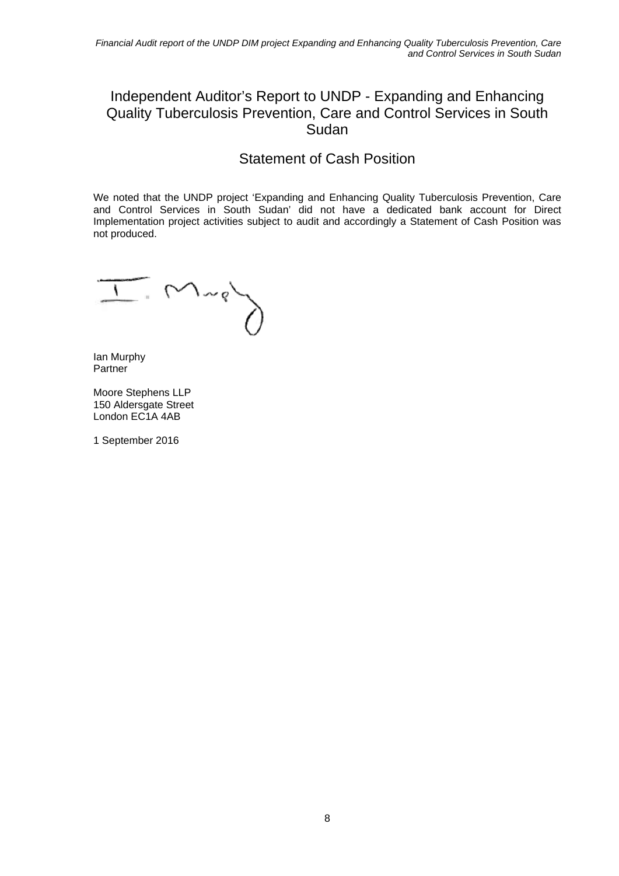#### Independent Auditor's Report to UNDP - Expanding and Enhancing Quality Tuberculosis Prevention, Care and Control Services in South Sudan

#### Statement of Cash Position

We noted that the UNDP project 'Expanding and Enhancing Quality Tuberculosis Prevention, Care and Control Services in South Sudan' did not have a dedicated bank account for Direct Implementation project activities subject to audit and accordingly a Statement of Cash Position was not produced.

 $M^{n}$ 

Ian Murphy Partner

Moore Stephens LLP 150 Aldersgate Street London EC1A 4AB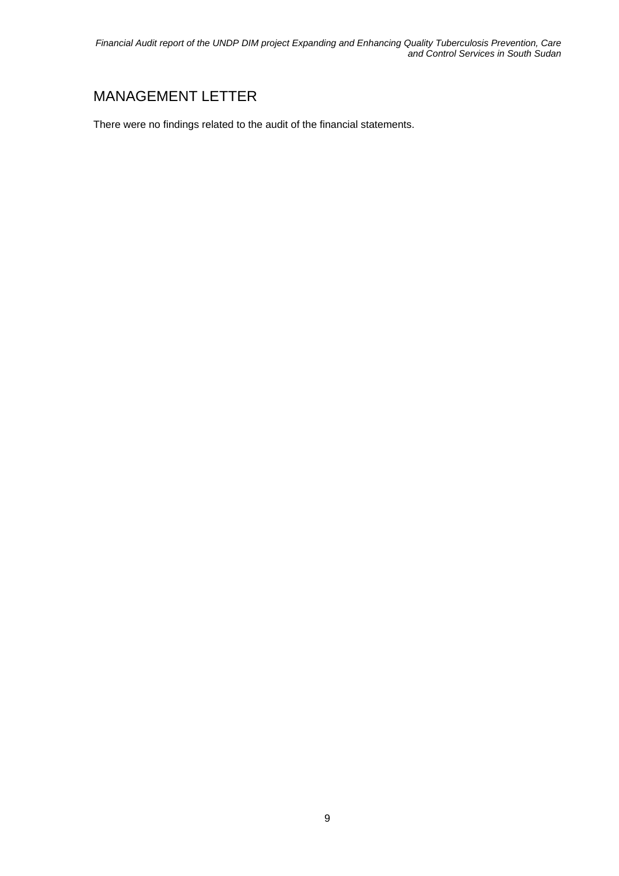*Financial Audit report of the UNDP DIM project Expanding and Enhancing Quality Tuberculosis Prevention, Care and Control Services in South Sudan* 

## MANAGEMENT LETTER

There were no findings related to the audit of the financial statements.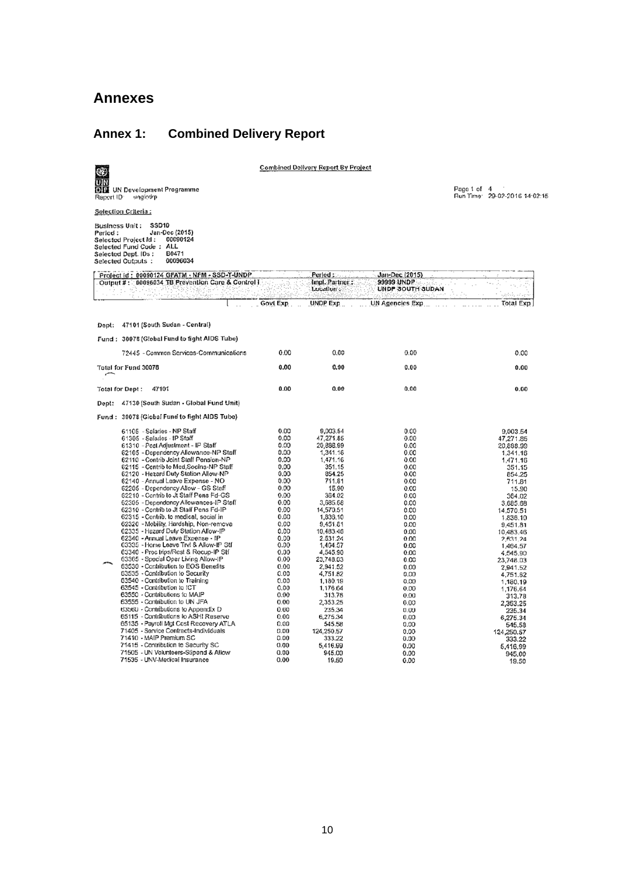#### **Annexes**

#### **Annex 1: Combined Delivery Report**



**Combined Delivery Report By Project** 

Page 1 of 4<br>Run Time: 29-02-2016 14:02:15

Selection Criteria:

Fusiness Unit: SSD10<br>
Business Unit: SSD10<br>
Selected Project id: 00090124<br>
Selected Fund Code : ALL<br>
Selected Dept. IDs: B0471<br>
Selected Outputs: 00096034

| Project id:00090124 GPA1M - NPM - SSD-T-UNDP。<br>Output #: 00096034 TB Prevention Care & Control I                                                                                                                                                                                                                                                                                                                                                                                                                                                                                                                                                                                                                                                                               |                                                                                                                                                              | Period :<br>Impl. Partner:<br>Location:                                                                                                                                                                                             | Jan-Dec (2015)<br>99999 UNDP<br>UNDP SOUTH SUDAN                                                                                                             |                                                                                                                                                                                                                                     |
|----------------------------------------------------------------------------------------------------------------------------------------------------------------------------------------------------------------------------------------------------------------------------------------------------------------------------------------------------------------------------------------------------------------------------------------------------------------------------------------------------------------------------------------------------------------------------------------------------------------------------------------------------------------------------------------------------------------------------------------------------------------------------------|--------------------------------------------------------------------------------------------------------------------------------------------------------------|-------------------------------------------------------------------------------------------------------------------------------------------------------------------------------------------------------------------------------------|--------------------------------------------------------------------------------------------------------------------------------------------------------------|-------------------------------------------------------------------------------------------------------------------------------------------------------------------------------------------------------------------------------------|
|                                                                                                                                                                                                                                                                                                                                                                                                                                                                                                                                                                                                                                                                                                                                                                                  | Govt Exp                                                                                                                                                     | <b>UNDP Exp</b>                                                                                                                                                                                                                     | <b>UN Agencies Exp</b>                                                                                                                                       | established and<br>Total Exp                                                                                                                                                                                                        |
| Dept: 47101 (South Sudan - Central)                                                                                                                                                                                                                                                                                                                                                                                                                                                                                                                                                                                                                                                                                                                                              |                                                                                                                                                              |                                                                                                                                                                                                                                     |                                                                                                                                                              |                                                                                                                                                                                                                                     |
| Fund: 30078 (Global Fund to fight AIDS Tube)                                                                                                                                                                                                                                                                                                                                                                                                                                                                                                                                                                                                                                                                                                                                     |                                                                                                                                                              |                                                                                                                                                                                                                                     |                                                                                                                                                              |                                                                                                                                                                                                                                     |
| 72445 - Common Services-Communications                                                                                                                                                                                                                                                                                                                                                                                                                                                                                                                                                                                                                                                                                                                                           | 0.00                                                                                                                                                         | 0.00                                                                                                                                                                                                                                | 0.00                                                                                                                                                         | 0.00                                                                                                                                                                                                                                |
| Total for Fund 30078                                                                                                                                                                                                                                                                                                                                                                                                                                                                                                                                                                                                                                                                                                                                                             | 0.00                                                                                                                                                         | 0.00                                                                                                                                                                                                                                | 0.00                                                                                                                                                         | 0.00                                                                                                                                                                                                                                |
| 47101<br>Total for Dept:                                                                                                                                                                                                                                                                                                                                                                                                                                                                                                                                                                                                                                                                                                                                                         | 0.00                                                                                                                                                         | 0.00                                                                                                                                                                                                                                | 0.00                                                                                                                                                         | 0.00                                                                                                                                                                                                                                |
| 47130 (South Sudan - Global Fund Unit)<br>Dept:                                                                                                                                                                                                                                                                                                                                                                                                                                                                                                                                                                                                                                                                                                                                  |                                                                                                                                                              |                                                                                                                                                                                                                                     |                                                                                                                                                              |                                                                                                                                                                                                                                     |
| Fund: 30078 (Global Fund to fight AIDS Tube)                                                                                                                                                                                                                                                                                                                                                                                                                                                                                                                                                                                                                                                                                                                                     |                                                                                                                                                              |                                                                                                                                                                                                                                     |                                                                                                                                                              |                                                                                                                                                                                                                                     |
| 61105 - Salaries - NP Staff<br>61305 - Salaries - IP Staff<br>61310 - Post Adjustment - IP Staff<br>62105 - Dependency Allowance-NP Staff<br>62110 - Contrib Joint Staff Pension-NP<br>62115 - Contrib to Med, Socins-NP Staff<br>62120 - Hazard Duty Station Allow-NP<br>62140 - Annual Leave Expense - NO<br>62205 - Dependency Allow - GS Staff<br>62210 - Contrib lo Jt Staff Pens Fd-GS<br>62305 - Dependency Allowances-IP Staff<br>62310 - Contrib to Jt Staff Pens Fd-IP<br>62315 - Contrib. to medical, social in                                                                                                                                                                                                                                                       | 0.00<br>0.00<br>0.00<br>0.00<br>0.00<br>0.00<br>0.00<br>0.00<br>0.00<br>0.00<br>0.00<br>0.00<br>0.00                                                         | 9,003.54<br>47,271.85<br>20,888.99<br>1,341.16<br>1.471.16<br>351.15<br>854.25<br>711.81<br>15.90<br>364.02<br>3,685.68<br>14,570.51<br>1,836.10                                                                                    | 0.00<br>0.00<br>0.00<br>0.00<br>0.00<br>0.00<br>0.00<br>0.00<br>0.00<br>0.00<br>0.00<br>0.00<br>0.00                                                         | 9,003.54<br>47,271.85<br>20,888.99<br>1,341.16<br>1.471.16<br>351.15<br>854.25<br>711.81<br>15.90<br>364.02<br>3,685.68<br>14,570.51<br>1,836.10                                                                                    |
| 62320 - Mobility, Hardship, Non-remova<br>62335 - Hazard Duty Station Allow-IP<br>62340 - Annual Leave Expense - IP<br>63335 - Home Leave Tryl & Allow-IP Stf<br>63340 - Proc trips/Rest & Recup-IP Stf<br>63365 - Special Oper Living Allow-IP<br>63530 - Contribution to EOS Benefits<br>63535 - Contribution to Security<br>63540 - Contribution to Training<br>63545 - Contribution to ICT<br>63550 - Contributions to MAIP<br>63555 - Contribution to UN JFA<br>63560 - Contributions to Appendix D<br>65115 - Contributions to ASH! Reserve<br>65135 - Payroll Mgt Cost Recovery ATLA<br>71405 - Service Contracts-Individuals<br>71410 - MAIP Premium SC<br>71415 - Contribution to Security SC<br>71505 - UN Volunteers-Stipend & Allow<br>71535 - UNV-Medical Insurance | 0.00<br>0.00<br>0.00<br>0.00<br>0.00<br>0.00<br>0.00<br>0.00<br>0.00<br>0.00<br>0.00<br>0.00<br>0.00<br>0.00<br>0.00<br>0.00<br>0.00<br>0.00<br>0.00<br>0.00 | 9,451.81<br>10,483.46<br>2.531.24<br>1,464.57<br>4,545.90<br>23,748.03<br>2,941.52<br>4,751.82<br>1,180.19<br>1,176.64<br>313.78<br>2.353.25<br>235.34<br>6,275.34<br>545.58<br>124.250.57<br>333.22<br>5,416.99<br>945.00<br>19.50 | 0.00<br>0.00<br>0.00<br>0.00<br>0.00<br>0.00<br>0.00<br>0.00<br>0.00<br>0.00<br>0.00<br>0.00<br>0.00<br>0.00<br>0.00<br>0.00<br>0.00<br>0.00<br>0.00<br>0.00 | 9,451.81<br>10,483.46<br>2,531.24<br>1,464.57<br>4,545.90<br>23,748.03<br>2,941.52<br>4,751.82<br>1,180.19<br>1,176.64<br>313.78<br>2,353.25<br>235.34<br>6,275.34<br>545.58<br>124,250.57<br>333.22<br>5,416.99<br>945.00<br>19.50 |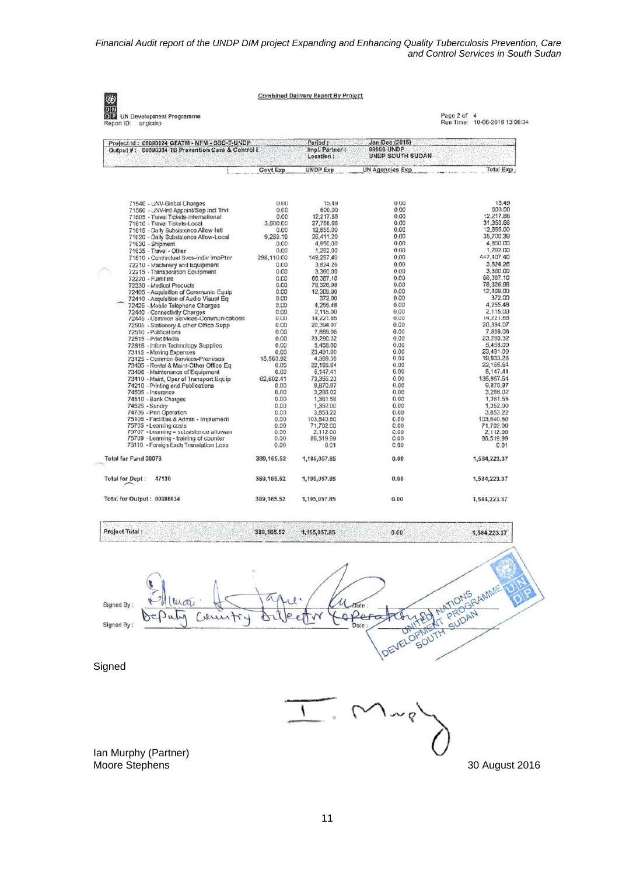Combined Delivery Report By Project

**UIN**<br>OIP **112 UN Development Programme**<br>Report ID: unglodip

K)

Page 2 of 4<br>Run Time: 10-06-2016 13:06:34

| Project Id: 00090124 GFATM - NFM - SSD-T-UNDP<br>Output #: 00096034 TB Prevention Care & Control I                                                                                                                                                                                                                                                                                                                                                                                                                                                                                                                                                                                                                                                                                                                                                                                                                                                                                                                              |                                                                                                                                                                                                                                                              | Period:<br>Impl. Partner:<br>Location:                                                                                                                                                                                                                                                                                                                           | Jan-Dec (2015)<br>99999 UNDP<br><b>UNDP SOUTH SUDAN</b>                                                                                                                                                                              |                                                                                                                                                                                                                                                                                                                                                                    |
|---------------------------------------------------------------------------------------------------------------------------------------------------------------------------------------------------------------------------------------------------------------------------------------------------------------------------------------------------------------------------------------------------------------------------------------------------------------------------------------------------------------------------------------------------------------------------------------------------------------------------------------------------------------------------------------------------------------------------------------------------------------------------------------------------------------------------------------------------------------------------------------------------------------------------------------------------------------------------------------------------------------------------------|--------------------------------------------------------------------------------------------------------------------------------------------------------------------------------------------------------------------------------------------------------------|------------------------------------------------------------------------------------------------------------------------------------------------------------------------------------------------------------------------------------------------------------------------------------------------------------------------------------------------------------------|--------------------------------------------------------------------------------------------------------------------------------------------------------------------------------------------------------------------------------------|--------------------------------------------------------------------------------------------------------------------------------------------------------------------------------------------------------------------------------------------------------------------------------------------------------------------------------------------------------------------|
|                                                                                                                                                                                                                                                                                                                                                                                                                                                                                                                                                                                                                                                                                                                                                                                                                                                                                                                                                                                                                                 | Govt Exp                                                                                                                                                                                                                                                     | <b>UNDP Exp</b>                                                                                                                                                                                                                                                                                                                                                  | <b>UN Agencies Exp</b>                                                                                                                                                                                                               | <b>Total Exp</b>                                                                                                                                                                                                                                                                                                                                                   |
| 71540 - UNV-Global Charges<br>71560 - UNV-Intl Appoint/Sep incl TrvI<br>71605 - Travel Tickets-International<br>71610 - Travel Tickets-Local<br>71615 - Daily Subsistence Allow-Intl<br>71620 - Daily Subsistence Allow-Local<br>71630 - Shipment<br>71635 - Travel - Olher<br>71810 - Contractual Svcs-indiv ImpPtnr<br>72210 - Machinery and Equipment<br>72215 - Transporation Equipment<br>72220 - Furniture<br>72330 - Medical Products<br>72405 - Acquisition of Communic Equip<br>72410 - Acquisition of Audio Visual Eq<br>72425 - Mobile Telephone Charges<br>72440 - Connectivity Charges<br>72445 - Common Services-Communications<br>72505 - Stationery & other Office Supp.<br>72510 - Publications<br>72515 - Print Modia<br>72815 - Inform Technology Supplies<br>73115 - Moving Expenses<br>73125 - Common Sarvices-Premises<br>73405 - Rental & Maint-Other Office Eq.<br>73406 - Maintenance of Equipment<br>73410 - Maint, Oper of Transport Equip<br>74210 - Printing and Publications<br>74505 - Insurance | 0.00<br>0.00<br>0.00<br>3.600.00<br>0.00<br>9.289.19<br>0.00<br>0.00<br>298,110.00<br>0.00<br>0.00<br>0.00<br>0.00<br>0.00<br>0.00<br>0.00<br>0.00<br>0.00<br>0.00<br>0.00<br>0.00<br>0.00<br>0.00<br>15.563.92<br>0.00<br>0.00<br>62,602.41<br>0.00<br>0.00 | 15.49<br>600.00<br>12,217.88<br>27,758.66<br>12,855.00<br>26.411.20<br>4,850.00<br>1,292.00<br>149,297.40<br>3,824.26<br>3,360.00<br>66,387.10<br>78,326.98<br>12,309.00<br>372.00<br>4,255.48<br>2,115.00<br>14,221.85<br>20,394.07<br>7,889.06<br>23,290.32<br>5,458.00<br>23,491.00<br>4,369.36<br>22,165.64<br>5,147.41<br>73,355.23<br>9,870.97<br>3,286.02 | 0.00<br>0.00<br>0.00<br>0.00<br>0.00<br>0.00<br>0.00<br>0.00<br>0.00<br>0.00<br>0.00<br>0.00<br>0.00<br>0.00<br>0.00<br>0.00<br>0.00<br>0.00<br>0.00<br>0.00<br>0.00<br>0.00<br>0.00<br>0.00<br>0.00<br>0.00<br>0.00<br>0.00<br>0.00 | 15.49<br>600,00<br>12,217.88<br>31,358.66<br>12,855.00<br>35,700.39<br>4,850.00<br>1,292.00<br>447,407.40<br>3,824.26<br>3,360.00<br>66.387.10<br>78,326.98<br>12.309.00<br>372.00<br>4.255.48<br>2.115.00<br>14.221.85<br>20,394.07<br>7,889.06<br>23.290.32<br>5.458.00<br>23,491.00<br>19,933.28<br>22.165.64<br>5,147.41<br>135,957.64<br>9,870.97<br>3.286.02 |
| 74510 - Bank Charges<br>74525 - Sundry<br>74705 - Port Operation<br>75105 - Facilities & Admin - Implement<br>75705 - Learning costs<br>75707 - Learning - subsistence allowan<br>75709 - Learning - training of counter<br>76110 - Foreign Exch Translation Loss<br>Total for Fund 30078                                                                                                                                                                                                                                                                                                                                                                                                                                                                                                                                                                                                                                                                                                                                       | 0.00<br>0.00<br>0.00<br>0.00<br>0.00<br>0.00<br>0.00<br>0.00<br>389,165.52                                                                                                                                                                                   | 1,361.58<br>1,352.00<br>3,853.22<br>103,540.80<br>71,702.00<br>2,112.00<br>86,519.99<br>0.01<br>1,195,057.85                                                                                                                                                                                                                                                     | 0.00<br>0.00<br>0.00<br>0.00<br>0.00<br>0.00<br>0.00<br>0.00<br>0.00                                                                                                                                                                 | 1,361.58<br>1.352.00<br>3,853.22<br>103,640.80<br>71,702.00<br>2,112.00<br>86,519.99<br>0.01<br>1,584,223.37                                                                                                                                                                                                                                                       |
| 47130<br><b>Total for Dept:</b>                                                                                                                                                                                                                                                                                                                                                                                                                                                                                                                                                                                                                                                                                                                                                                                                                                                                                                                                                                                                 | 389,165.52                                                                                                                                                                                                                                                   | 1,195,057.85                                                                                                                                                                                                                                                                                                                                                     | 0.00                                                                                                                                                                                                                                 | 1,584,223.37                                                                                                                                                                                                                                                                                                                                                       |
| Total for Output: 00096034                                                                                                                                                                                                                                                                                                                                                                                                                                                                                                                                                                                                                                                                                                                                                                                                                                                                                                                                                                                                      | 389, 165.52                                                                                                                                                                                                                                                  | 1,195,057.85                                                                                                                                                                                                                                                                                                                                                     | 0.00                                                                                                                                                                                                                                 | 1,584,223.37                                                                                                                                                                                                                                                                                                                                                       |

Project Total:

389, 165.52 1,195,057.85

ONIS RAMME ATIONS  $U_{\text{plate}}$ Signed By **PROAM** opera Cerist δ **CHALL** Signed By DEVELOPMENT **Signed** 

> Ì  $\sim$  b

 $0.00$ 

Ian Murphy (Partner) Moore Stephens 30 August 2016

1,584,223.37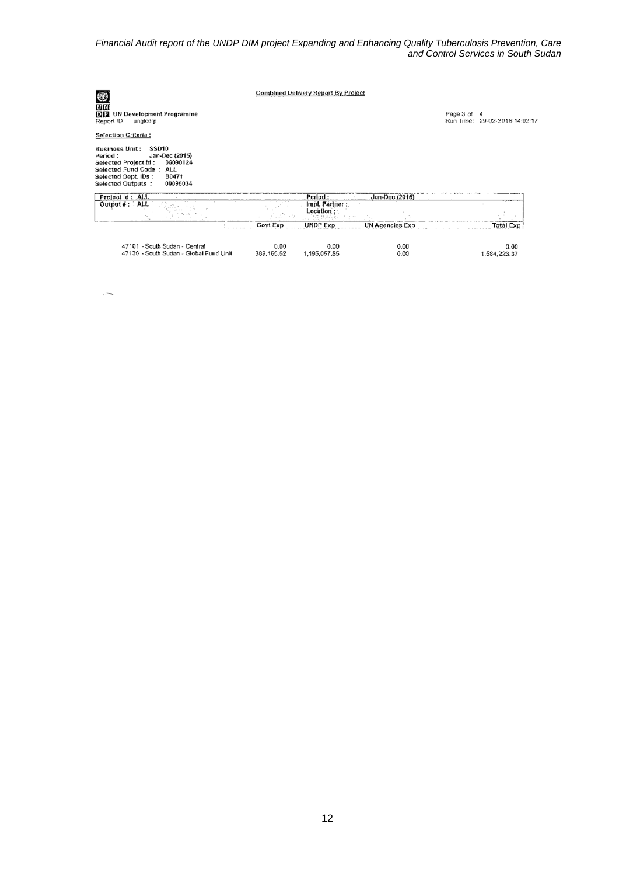*Financial Audit report of the UNDP DIM project Expanding and Enhancing Quality Tuberculosis Prevention, Care and Control Services in South Sudan* 

|          |                               |                        |                                                    | Run Time: 29-02-2016 14:02:17 |
|----------|-------------------------------|------------------------|----------------------------------------------------|-------------------------------|
|          |                               |                        |                                                    |                               |
|          |                               |                        |                                                    |                               |
|          | Period:                       | Jon-Dec (2016)         |                                                    |                               |
|          | Impl. Partner :<br>Location : |                        |                                                    |                               |
| Govt Exp | <b>UNDP Exp.</b>              | <b>UN Agencies Exp</b> |                                                    | <b>Total Exp</b>              |
| 0.00     | 0.00                          | 0.00                   |                                                    | 0.00<br>1,584,223.37          |
|          | 389, 165.52                   | 1,195,057.85           | <b>Combined Delivery Report By Project</b><br>0.00 | Page 3 of 4                   |

 $\mathcal{L}^{\mathcal{L}}$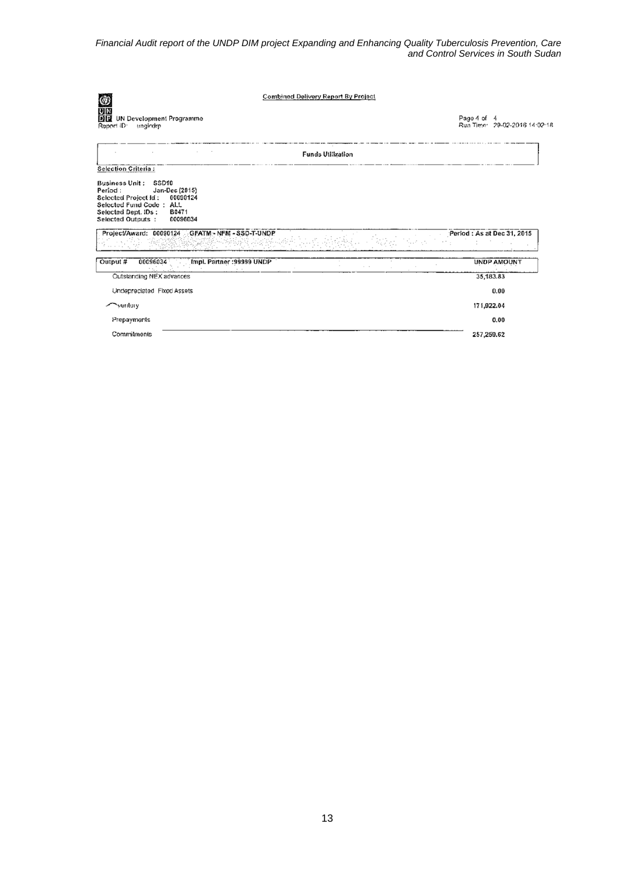*Financial Audit report of the UNDP DIM project Expanding and Enhancing Quality Tuberculosis Prevention, Care and Control Services in South Sudan* 

| <b>Combined Delivery Report By Project</b>                                                                                                                                         |                                              |  |
|------------------------------------------------------------------------------------------------------------------------------------------------------------------------------------|----------------------------------------------|--|
| <b>OD</b><br>UN<br>DIP<br><b>UN Development Programme</b><br>Report ID:<br>tingledip                                                                                               | Page 4 of 4<br>Run Time: 29-02-2016 14:02:18 |  |
| <b>Funds Utilization</b><br><b>Selection Criteria:</b>                                                                                                                             |                                              |  |
| Business Unit: SSD10<br>Jan-Dec (2015)<br>Period:<br>Selected Project Id:<br>00090124<br>Selected Fund Code: ALL<br>Selected Dept. IDs:<br>B0471<br>Selected Outputs :<br>00096034 |                                              |  |
| Project/Award: 00090124 GFATM - NFM - SSD-T-UNDP                                                                                                                                   | Period: As at Dec 31, 2015                   |  |
| Output #<br>00096034<br>Impl. Partner: 99999 UNDP                                                                                                                                  | <b>UNDP AMOUNT</b>                           |  |
| Service Co.<br>Outstanding NEX advances                                                                                                                                            | 35,183.83                                    |  |
| Undepreciated Fixed Assets                                                                                                                                                         | 0.00                                         |  |
| ventory                                                                                                                                                                            | 171,922.04                                   |  |
| Prepayments                                                                                                                                                                        | 0.00                                         |  |
| Commitments                                                                                                                                                                        | 257,259.62                                   |  |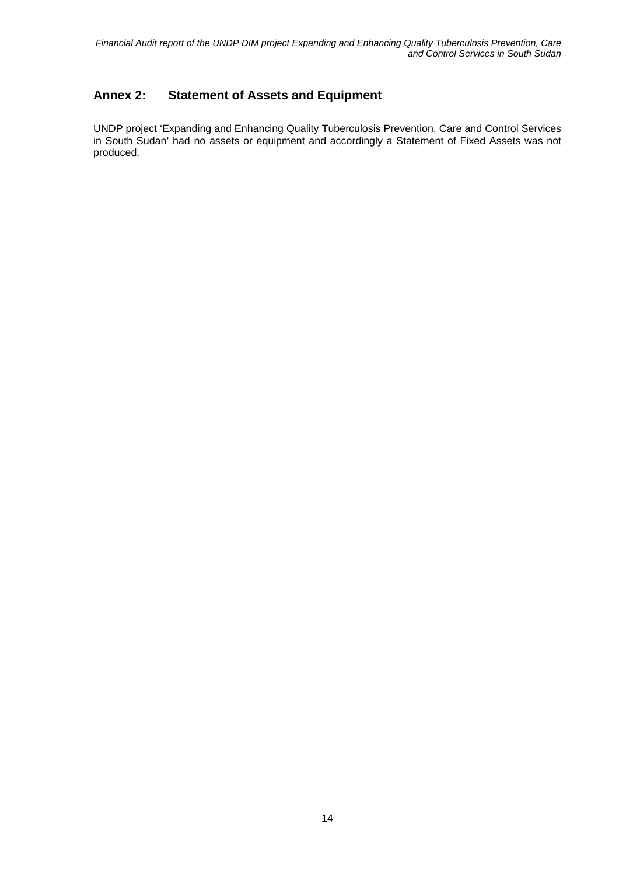#### **Annex 2: Statement of Assets and Equipment**

UNDP project 'Expanding and Enhancing Quality Tuberculosis Prevention, Care and Control Services in South Sudan' had no assets or equipment and accordingly a Statement of Fixed Assets was not produced.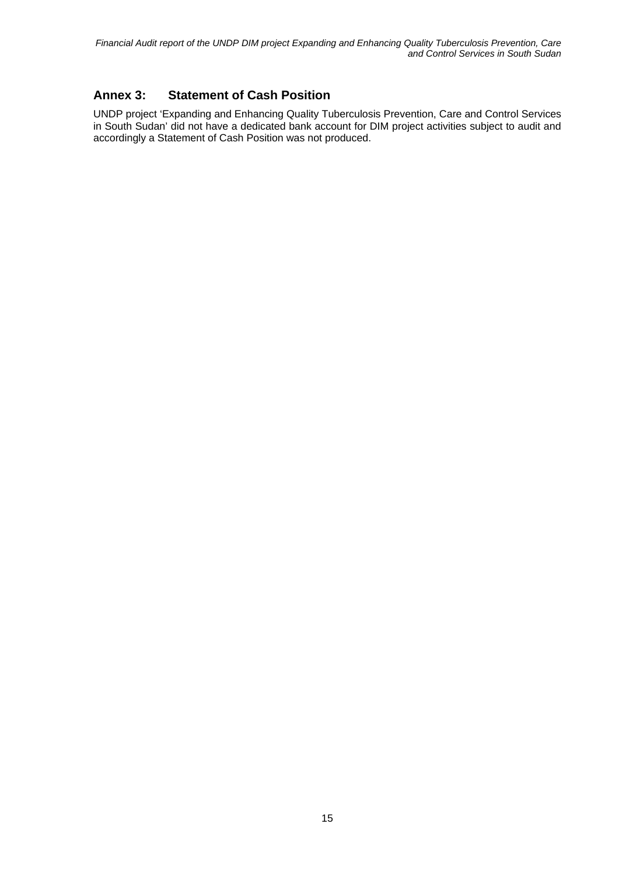#### **Annex 3: Statement of Cash Position**

UNDP project 'Expanding and Enhancing Quality Tuberculosis Prevention, Care and Control Services in South Sudan' did not have a dedicated bank account for DIM project activities subject to audit and accordingly a Statement of Cash Position was not produced.